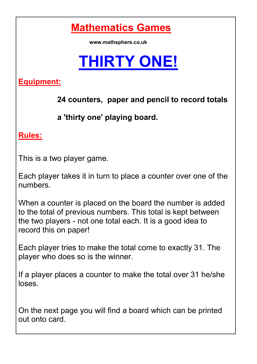**Mathematics Games**

**www.mathsphere.co.uk** 

## **THIRTY ONE!**

**Equipment:** 

 **24 counters, paper and pencil to record totals**

 **a 'thirty one' playing board.**

**Rules:**

This is a two player game.

Each player takes it in turn to place a counter over one of the numbers.

When a counter is placed on the board the number is added to the total of previous numbers. This total is kept between the two players - not one total each. It is a good idea to record this on paper!

Each player tries to make the total come to exactly 31. The player who does so is the winner.

If a player places a counter to make the total over 31 he/she loses.

On the next page you will find a board which can be printed out onto card.